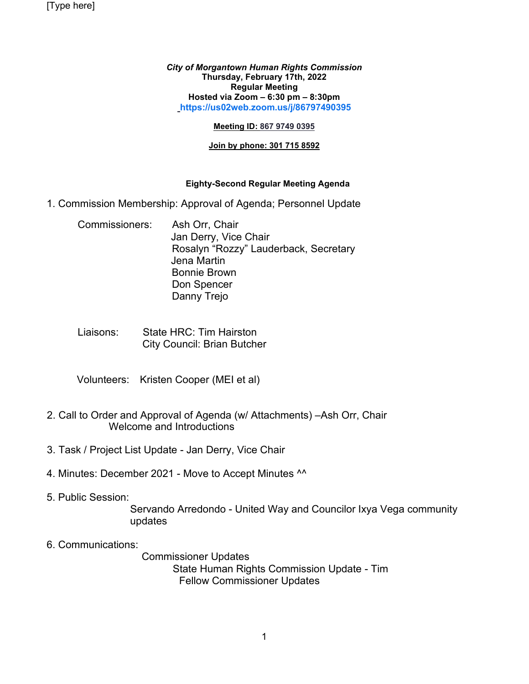[Type here]

*City of Morgantown Human Rights Commission* **Thursday, February 17th, 2022 Regular Meeting Hosted via Zoom – 6:30 pm – 8:30pm [https://us02web.zoom.us/j/86797490395](https://us02web.zoom.us/j/86797490395?pwd=dUJOdzJDSzcwRG51OTBqSGJML3BJZz09)**

#### **Meeting ID: 867 9749 0395**

### **Join by phone: 301 715 8592**

## **Eighty-Second Regular Meeting Agenda**

- 1. Commission Membership: Approval of Agenda; Personnel Update
	- Commissioners: Ash Orr, Chair Jan Derry, Vice Chair Rosalyn "Rozzy" Lauderback, Secretary Jena Martin Bonnie Brown Don Spencer Danny Trejo
	- Liaisons: State HRC: Tim Hairston City Council: Brian Butcher
	- Volunteers: Kristen Cooper (MEI et al)
- 2. Call to Order and Approval of Agenda (w/ Attachments) –Ash Orr, Chair Welcome and Introductions
- 3. Task / Project List Update Jan Derry, Vice Chair
- 4. Minutes: December 2021 Move to Accept Minutes ^^
- 5. Public Session:

 Servando Arredondo - United Way and Councilor Ixya Vega community updates

6. Communications:

 Commissioner Updates State Human Rights Commission Update - Tim Fellow Commissioner Updates